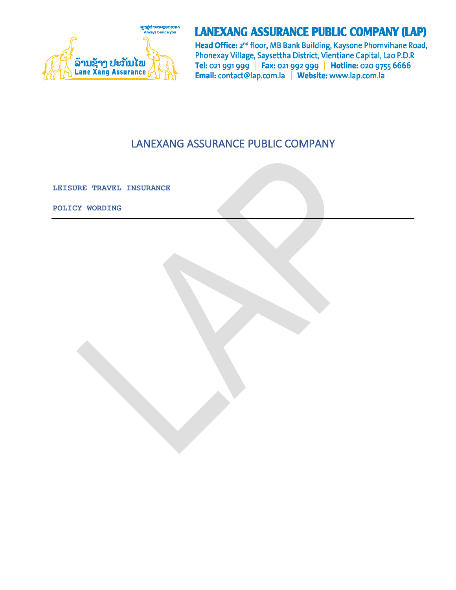

# **LANEXANG ASSURANCE PUBLIC COMPANY (LAP)**

Head Office: 2<sup>nd</sup> floor, MB Bank Building, Kaysone Phomvihane Road, Phonexay Village, Saysettha District, Vientiane Capital, Lao P.D.R Tel: 021 991 999 | Fax: 021 992 999 | Hotline: 020 9755 6666 Email: contact@lap.com.la | Website: www.lap.com.la

# LANEXANG ASSURANCE PUBLIC COMPANY

**LEISURE TRAVEL INSURANCE**

**POLICY WORDING**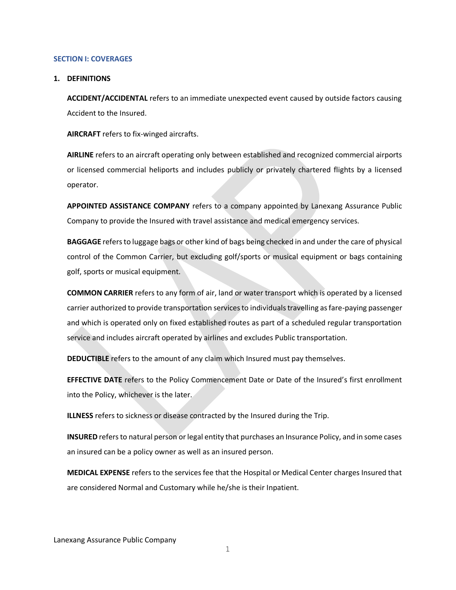#### **SECTION I: COVERAGES**

#### **1. DEFINITIONS**

**ACCIDENT/ACCIDENTAL** refers to an immediate unexpected event caused by outside factors causing Accident to the Insured.

**AIRCRAFT** refers to fix-winged aircrafts.

**AIRLINE** refers to an aircraft operating only between established and recognized commercial airports or licensed commercial heliports and includes publicly or privately chartered flights by a licensed operator.

**APPOINTED ASSISTANCE COMPANY** refers to a company appointed by Lanexang Assurance Public Company to provide the Insured with travel assistance and medical emergency services.

**BAGGAGE** refers to luggage bags or other kind of bags being checked in and under the care of physical control of the Common Carrier, but excluding golf/sports or musical equipment or bags containing golf, sports or musical equipment.

**COMMON CARRIER** refers to any form of air, land or water transport which is operated by a licensed carrier authorized to provide transportation services to individuals travelling as fare-paying passenger and which is operated only on fixed established routes as part of a scheduled regular transportation service and includes aircraft operated by airlines and excludes Public transportation.

**DEDUCTIBLE** refers to the amount of any claim which Insured must pay themselves.

**EFFECTIVE DATE** refers to the Policy Commencement Date or Date of the Insured's first enrollment into the Policy, whichever is the later.

**ILLNESS** refers to sickness or disease contracted by the Insured during the Trip.

**INSURED** refers to natural person or legal entity that purchases an Insurance Policy, and in some cases an insured can be a policy owner as well as an insured person.

**MEDICAL EXPENSE** refers to the services fee that the Hospital or Medical Center charges Insured that are considered Normal and Customary while he/she is their Inpatient.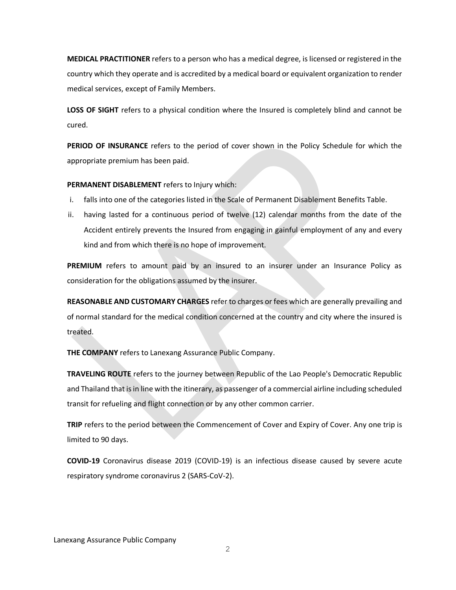**MEDICAL PRACTITIONER** refers to a person who has a medical degree, is licensed or registered in the country which they operate and is accredited by a medical board or equivalent organization to render medical services, except of Family Members.

**LOSS OF SIGHT** refers to a physical condition where the Insured is completely blind and cannot be cured.

**PERIOD OF INSURANCE** refers to the period of cover shown in the Policy Schedule for which the appropriate premium has been paid.

**PERMANENT DISABLEMENT** refers to Injury which:

- i. falls into one of the categories listed in the Scale of Permanent Disablement Benefits Table.
- ii. having lasted for a continuous period of twelve (12) calendar months from the date of the Accident entirely prevents the Insured from engaging in gainful employment of any and every kind and from which there is no hope of improvement.

**PREMIUM** refers to amount paid by an insured to an insurer under an Insurance Policy as consideration for the obligations assumed by the insurer.

**REASONABLE AND CUSTOMARY CHARGES** refer to charges or fees which are generally prevailing and of normal standard for the medical condition concerned at the country and city where the insured is treated.

**THE COMPANY** refers to Lanexang Assurance Public Company.

**TRAVELING ROUTE** refers to the journey between Republic of the Lao People's Democratic Republic and Thailand that is in line with the itinerary, as passenger of a commercial airline including scheduled transit for refueling and flight connection or by any other common carrier.

**TRIP** refers to the period between the Commencement of Cover and Expiry of Cover. Any one trip is limited to 90 days.

**COVID-19** Coronavirus disease 2019 (COVID-19) is an infectious disease caused by severe acute respiratory syndrome coronavirus 2 (SARS-CoV-2).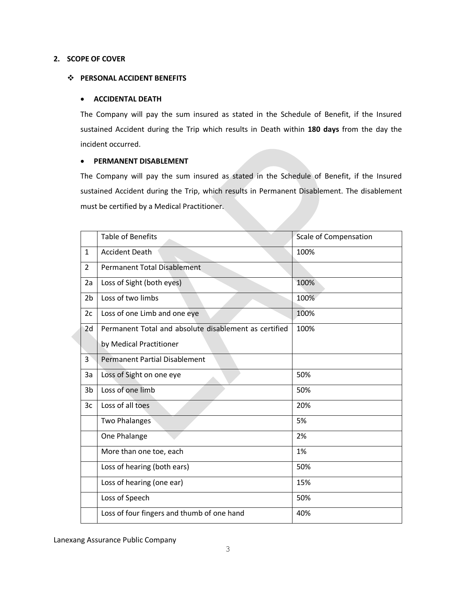# **2. SCOPE OF COVER**

## ❖ **PERSONAL ACCIDENT BENEFITS**

## • **ACCIDENTAL DEATH**

The Company will pay the sum insured as stated in the Schedule of Benefit, if the Insured sustained Accident during the Trip which results in Death within **180 days** from the day the incident occurred.

# • **PERMANENT DISABLEMENT**

The Company will pay the sum insured as stated in the Schedule of Benefit, if the Insured sustained Accident during the Trip, which results in Permanent Disablement. The disablement must be certified by a Medical Practitioner.

|                | <b>Table of Benefits</b>                              | <b>Scale of Compensation</b> |
|----------------|-------------------------------------------------------|------------------------------|
| $\mathbf{1}$   | <b>Accident Death</b>                                 | 100%                         |
| $\overline{2}$ | <b>Permanent Total Disablement</b>                    |                              |
| 2a             | Loss of Sight (both eyes)                             | 100%                         |
| 2 <sub>b</sub> | Loss of two limbs                                     | 100%                         |
| 2c             | Loss of one Limb and one eye                          | 100%                         |
| 2d             | Permanent Total and absolute disablement as certified | 100%                         |
|                | by Medical Practitioner                               |                              |
| 3              | <b>Permanent Partial Disablement</b>                  |                              |
| 3a             | Loss of Sight on one eye                              | 50%                          |
| 3 <sub>b</sub> | Loss of one limb                                      | 50%                          |
| 3c             | Loss of all toes                                      | 20%                          |
|                | <b>Two Phalanges</b>                                  | 5%                           |
|                | One Phalange                                          | 2%                           |
|                | More than one toe, each                               | 1%                           |
|                | Loss of hearing (both ears)                           | 50%                          |
|                | Loss of hearing (one ear)                             | 15%                          |
|                | Loss of Speech                                        | 50%                          |
|                | Loss of four fingers and thumb of one hand            | 40%                          |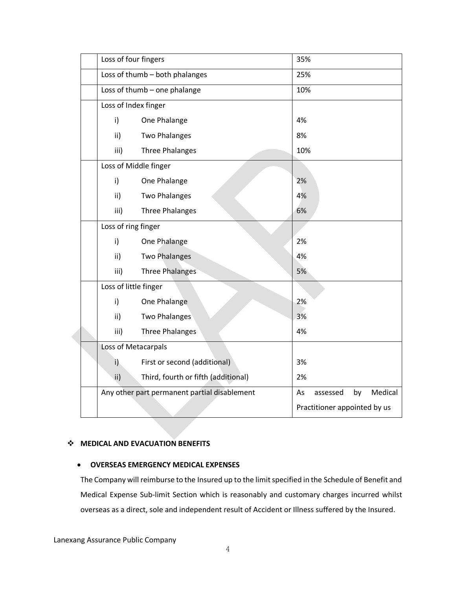| Loss of four fingers                         |                                     | 35%                          |          |    |         |  |  |
|----------------------------------------------|-------------------------------------|------------------------------|----------|----|---------|--|--|
| Loss of thumb - both phalanges               |                                     |                              | 25%      |    |         |  |  |
| Loss of thumb - one phalange                 |                                     |                              | 10%      |    |         |  |  |
| Loss of Index finger                         |                                     |                              |          |    |         |  |  |
| i)                                           | One Phalange                        | 4%                           |          |    |         |  |  |
| ii)                                          | <b>Two Phalanges</b>                | 8%                           |          |    |         |  |  |
| iii)                                         | <b>Three Phalanges</b>              | 10%                          |          |    |         |  |  |
| Loss of Middle finger                        |                                     |                              |          |    |         |  |  |
| i)                                           | One Phalange                        | 2%                           |          |    |         |  |  |
| ii)                                          | <b>Two Phalanges</b>                | 4%                           |          |    |         |  |  |
| iii)                                         | <b>Three Phalanges</b>              | 6%                           |          |    |         |  |  |
| Loss of ring finger                          |                                     |                              |          |    |         |  |  |
| i)                                           | One Phalange                        | 2%                           |          |    |         |  |  |
| ii)                                          | <b>Two Phalanges</b>                | 4%                           |          |    |         |  |  |
| iii)                                         | <b>Three Phalanges</b>              | 5%                           |          |    |         |  |  |
|                                              | Loss of little finger               |                              |          |    |         |  |  |
| i)                                           | One Phalange                        | 2%                           |          |    |         |  |  |
| ii)                                          | <b>Two Phalanges</b>                | 3%                           |          |    |         |  |  |
| iii)                                         | <b>Three Phalanges</b>              | 4%                           |          |    |         |  |  |
| Loss of Metacarpals                          |                                     |                              |          |    |         |  |  |
| i)                                           | First or second (additional)        | 3%                           |          |    |         |  |  |
| $\mathsf{ii}$                                | Third, fourth or fifth (additional) | 2%                           |          |    |         |  |  |
| Any other part permanent partial disablement |                                     | As                           | assessed | by | Medical |  |  |
|                                              |                                     | Practitioner appointed by us |          |    |         |  |  |

# ❖ **MEDICAL AND EVACUATION BENEFITS**

#### • **OVERSEAS EMERGENCY MEDICAL EXPENSES**

The Company will reimburse to the Insured up to the limit specified in the Schedule of Benefit and Medical Expense Sub-limit Section which is reasonably and customary charges incurred whilst overseas as a direct, sole and independent result of Accident or Illness suffered by the Insured.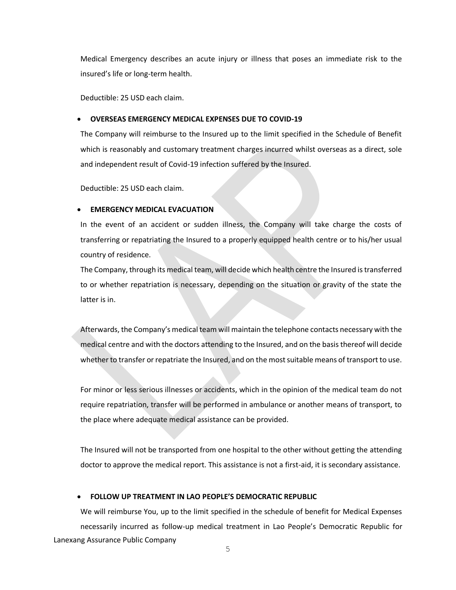Medical Emergency describes an acute injury or illness that poses an immediate risk to the insured's life or long-term health.

Deductible: 25 USD each claim.

#### • **OVERSEAS EMERGENCY MEDICAL EXPENSES DUE TO COVID-19**

The Company will reimburse to the Insured up to the limit specified in the Schedule of Benefit which is reasonably and customary treatment charges incurred whilst overseas as a direct, sole and independent result of Covid-19 infection suffered by the Insured.

Deductible: 25 USD each claim.

#### **EMERGENCY MEDICAL EVACUATION**

In the event of an accident or sudden illness, the Company will take charge the costs of transferring or repatriating the Insured to a properly equipped health centre or to his/her usual country of residence.

The Company, through its medical team, will decide which health centre the Insured is transferred to or whether repatriation is necessary, depending on the situation or gravity of the state the latter is in.

Afterwards, the Company's medical team will maintain the telephone contacts necessary with the medical centre and with the doctors attending to the Insured, and on the basis thereof will decide whether to transfer or repatriate the Insured, and on the most suitable means of transport to use.

For minor or less serious illnesses or accidents, which in the opinion of the medical team do not require repatriation, transfer will be performed in ambulance or another means of transport, to the place where adequate medical assistance can be provided.

The Insured will not be transported from one hospital to the other without getting the attending doctor to approve the medical report. This assistance is not a first-aid, it is secondary assistance.

## • **FOLLOW UP TREATMENT IN LAO PEOPLE'S DEMOCRATIC REPUBLIC**

Lanexang Assurance Public Company We will reimburse You, up to the limit specified in the schedule of benefit for Medical Expenses necessarily incurred as follow-up medical treatment in Lao People's Democratic Republic for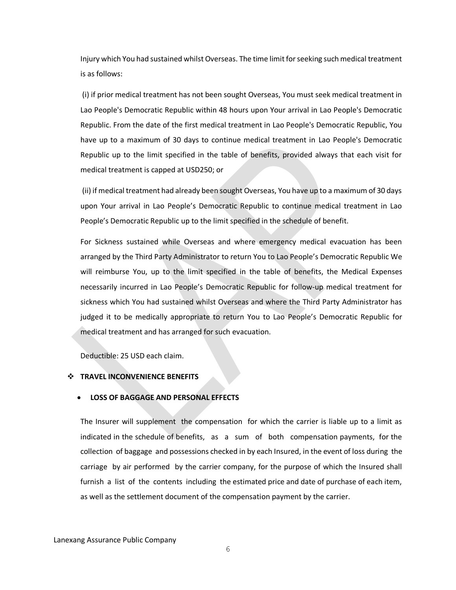Injury which You had sustained whilst Overseas. The time limit for seeking such medical treatment is as follows:

(i) if prior medical treatment has not been sought Overseas, You must seek medical treatment in Lao People's Democratic Republic within 48 hours upon Your arrival in Lao People's Democratic Republic. From the date of the first medical treatment in Lao People's Democratic Republic, You have up to a maximum of 30 days to continue medical treatment in Lao People's Democratic Republic up to the limit specified in the table of benefits, provided always that each visit for medical treatment is capped at USD250; or

(ii) if medical treatment had already been sought Overseas, You have up to a maximum of 30 days upon Your arrival in Lao People's Democratic Republic to continue medical treatment in Lao People's Democratic Republic up to the limit specified in the schedule of benefit.

For Sickness sustained while Overseas and where emergency medical evacuation has been arranged by the Third Party Administrator to return You to Lao People's Democratic Republic We will reimburse You, up to the limit specified in the table of benefits, the Medical Expenses necessarily incurred in Lao People's Democratic Republic for follow-up medical treatment for sickness which You had sustained whilst Overseas and where the Third Party Administrator has judged it to be medically appropriate to return You to Lao People's Democratic Republic for medical treatment and has arranged for such evacuation.

Deductible: 25 USD each claim.

## ❖ **TRAVEL INCONVENIENCE BENEFITS**

#### • **LOSS OF BAGGAGE AND PERSONAL EFFECTS**

The Insurer will supplement the compensation for which the carrier is liable up to a limit as indicated in the schedule of benefits, as a sum of both compensation payments, for the collection of baggage and possessions checked in by each Insured, in the event of loss during the carriage by air performed by the carrier company, for the purpose of which the Insured shall furnish a list of the contents including the estimated price and date of purchase of each item, as well as the settlement document of the compensation payment by the carrier.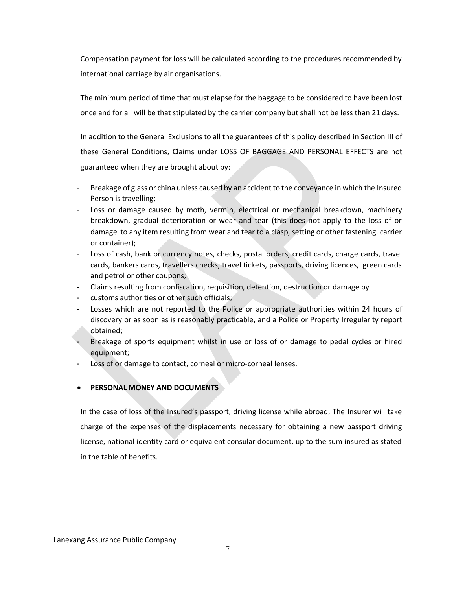Compensation payment for loss will be calculated according to the procedures recommended by international carriage by air organisations.

The minimum period of time that must elapse for the baggage to be considered to have been lost once and for all will be that stipulated by the carrier company but shall not be less than 21 days.

In addition to the General Exclusions to all the guarantees of this policy described in Section III of these General Conditions, Claims under LOSS OF BAGGAGE AND PERSONAL EFFECTS are not guaranteed when they are brought about by:

- Breakage of glass or china unless caused by an accident to the conveyance in which the Insured Person is travelling;
- Loss or damage caused by moth, vermin, electrical or mechanical breakdown, machinery breakdown, gradual deterioration or wear and tear (this does not apply to the loss of or damage to any item resulting from wear and tear to a clasp, setting or other fastening. carrier or container);
- Loss of cash, bank or currency notes, checks, postal orders, credit cards, charge cards, travel cards, bankers cards, travellers checks, travel tickets, passports, driving licences, green cards and petrol or other coupons;
- Claims resulting from confiscation, requisition, detention, destruction or damage by
- customs authorities or other such officials;
- Losses which are not reported to the Police or appropriate authorities within 24 hours of discovery or as soon as is reasonably practicable, and a Police or Property Irregularity report obtained;
- Breakage of sports equipment whilst in use or loss of or damage to pedal cycles or hired equipment;
- Loss of or damage to contact, corneal or micro-corneal lenses.

# • **PERSONAL MONEY AND DOCUMENTS**

In the case of loss of the Insured's passport, driving license while abroad, The Insurer will take charge of the expenses of the displacements necessary for obtaining a new passport driving license, national identity card or equivalent consular document, up to the sum insured as stated in the table of benefits.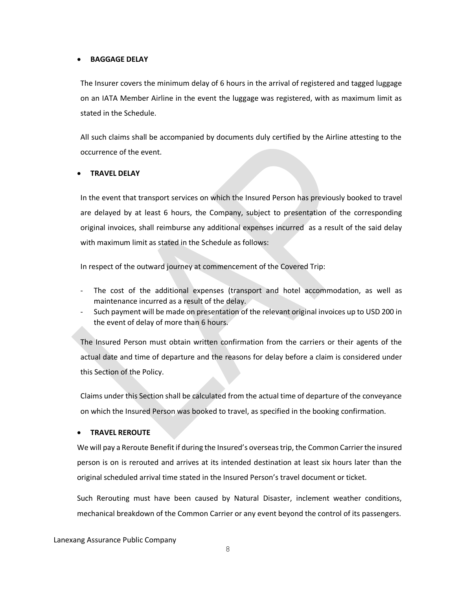#### • **BAGGAGE DELAY**

The Insurer covers the minimum delay of 6 hours in the arrival of registered and tagged luggage on an IATA Member Airline in the event the luggage was registered, with as maximum limit as stated in the Schedule.

All such claims shall be accompanied by documents duly certified by the Airline attesting to the occurrence of the event.

# • **TRAVEL DELAY**

In the event that transport services on which the Insured Person has previously booked to travel are delayed by at least 6 hours, the Company, subject to presentation of the corresponding original invoices, shall reimburse any additional expenses incurred as a result of the said delay with maximum limit as stated in the Schedule as follows:

In respect of the outward journey at commencement of the Covered Trip:

- The cost of the additional expenses (transport and hotel accommodation, as well as maintenance incurred as a result of the delay.
- Such payment will be made on presentation of the relevant original invoices up to USD 200 in the event of delay of more than 6 hours.

The Insured Person must obtain written confirmation from the carriers or their agents of the actual date and time of departure and the reasons for delay before a claim is considered under this Section of the Policy.

Claims under this Section shall be calculated from the actual time of departure of the conveyance on which the Insured Person was booked to travel, as specified in the booking confirmation.

#### • **TRAVEL REROUTE**

We will pay a Reroute Benefit if during the Insured's overseas trip, the Common Carrier the insured person is on is rerouted and arrives at its intended destination at least six hours later than the original scheduled arrival time stated in the Insured Person's travel document or ticket.

Such Rerouting must have been caused by Natural Disaster, inclement weather conditions, mechanical breakdown of the Common Carrier or any event beyond the control of its passengers.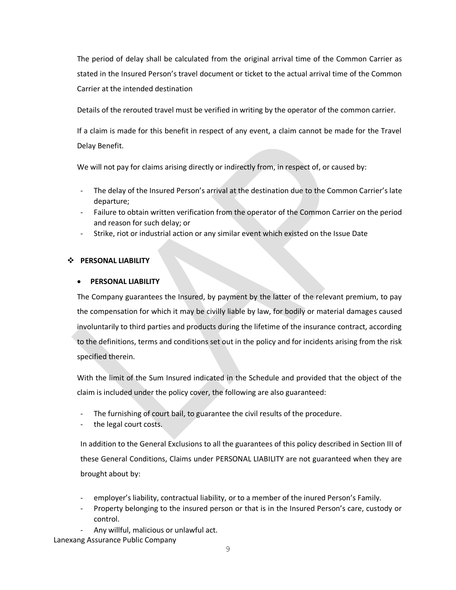The period of delay shall be calculated from the original arrival time of the Common Carrier as stated in the Insured Person's travel document or ticket to the actual arrival time of the Common Carrier at the intended destination

Details of the rerouted travel must be verified in writing by the operator of the common carrier.

If a claim is made for this benefit in respect of any event, a claim cannot be made for the Travel Delay Benefit.

We will not pay for claims arising directly or indirectly from, in respect of, or caused by:

- The delay of the Insured Person's arrival at the destination due to the Common Carrier's late departure;
- Failure to obtain written verification from the operator of the Common Carrier on the period and reason for such delay; or
- Strike, riot or industrial action or any similar event which existed on the Issue Date

# ❖ **PERSONAL LIABILITY**

# • **PERSONAL LIABILITY**

The Company guarantees the Insured, by payment by the latter of the relevant premium, to pay the compensation for which it may be civilly liable by law, for bodily or material damages caused involuntarily to third parties and products during the lifetime of the insurance contract, according to the definitions, terms and conditions set out in the policy and for incidents arising from the risk specified therein.

With the limit of the Sum Insured indicated in the Schedule and provided that the object of the claim is included under the policy cover, the following are also guaranteed:

- The furnishing of court bail, to guarantee the civil results of the procedure.
- the legal court costs.

In addition to the General Exclusions to all the guarantees of this policy described in Section III of these General Conditions, Claims under PERSONAL LIABILITY are not guaranteed when they are brought about by:

- employer's liability, contractual liability, or to a member of the inured Person's Family.
- Property belonging to the insured person or that is in the Insured Person's care, custody or control.
- Any willful, malicious or unlawful act.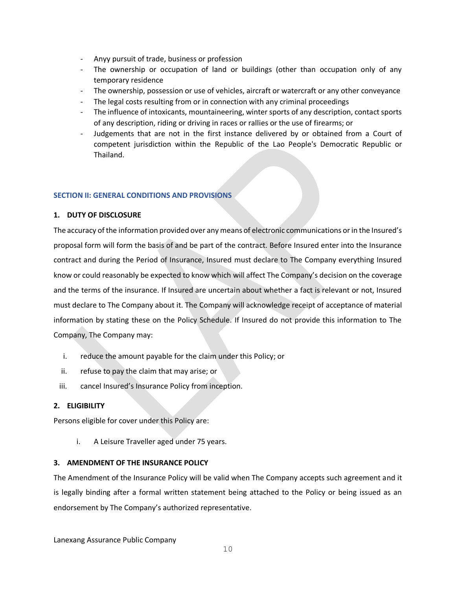- Anyy pursuit of trade, business or profession
- The ownership or occupation of land or buildings (other than occupation only of any temporary residence
- The ownership, possession or use of vehicles, aircraft or watercraft or any other conveyance
- The legal costs resulting from or in connection with any criminal proceedings
- The influence of intoxicants, mountaineering, winter sports of any description, contact sports of any description, riding or driving in races or rallies or the use of firearms; or
- Judgements that are not in the first instance delivered by or obtained from a Court of competent jurisdiction within the Republic of the Lao People's Democratic Republic or Thailand.

# **SECTION II: GENERAL CONDITIONS AND PROVISIONS**

# **1. DUTY OF DISCLOSURE**

The accuracy of the information provided over any means of electronic communications or in the Insured's proposal form will form the basis of and be part of the contract. Before Insured enter into the Insurance contract and during the Period of Insurance, Insured must declare to The Company everything Insured know or could reasonably be expected to know which will affect The Company's decision on the coverage and the terms of the insurance. If Insured are uncertain about whether a fact is relevant or not, Insured must declare to The Company about it. The Company will acknowledge receipt of acceptance of material information by stating these on the Policy Schedule. If Insured do not provide this information to The Company, The Company may:

- i. reduce the amount payable for the claim under this Policy; or
- ii. refuse to pay the claim that may arise; or
- iii. cancel Insured's Insurance Policy from inception.

# **2. ELIGIBILITY**

Persons eligible for cover under this Policy are:

i. A Leisure Traveller aged under 75 years.

# **3. AMENDMENT OF THE INSURANCE POLICY**

The Amendment of the Insurance Policy will be valid when The Company accepts such agreement and it is legally binding after a formal written statement being attached to the Policy or being issued as an endorsement by The Company's authorized representative.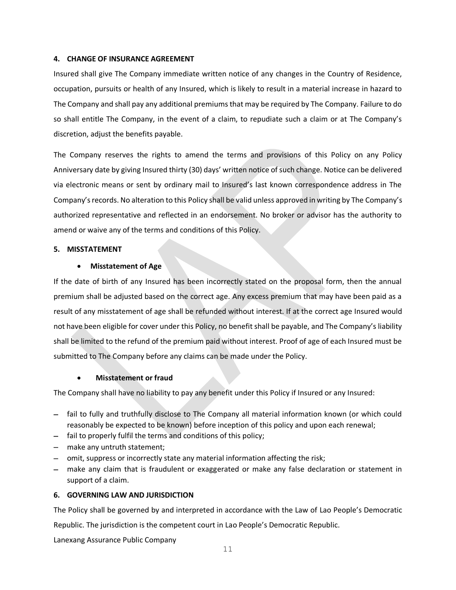## **4. CHANGE OF INSURANCE AGREEMENT**

Insured shall give The Company immediate written notice of any changes in the Country of Residence, occupation, pursuits or health of any Insured, which is likely to result in a material increase in hazard to The Company and shall pay any additional premiums that may be required by The Company. Failure to do so shall entitle The Company, in the event of a claim, to repudiate such a claim or at The Company's discretion, adjust the benefits payable.

The Company reserves the rights to amend the terms and provisions of this Policy on any Policy Anniversary date by giving Insured thirty (30) days' written notice of such change. Notice can be delivered via electronic means or sent by ordinary mail to Insured's last known correspondence address in The Company's records. No alteration to this Policy shall be valid unless approved in writing by The Company's authorized representative and reflected in an endorsement. No broker or advisor has the authority to amend or waive any of the terms and conditions of this Policy.

## **5. MISSTATEMENT**

# • **Misstatement of Age**

If the date of birth of any Insured has been incorrectly stated on the proposal form, then the annual premium shall be adjusted based on the correct age. Any excess premium that may have been paid as a result of any misstatement of age shall be refunded without interest. If at the correct age Insured would not have been eligible for cover under this Policy, no benefit shall be payable, and The Company's liability shall be limited to the refund of the premium paid without interest. Proof of age of each Insured must be submitted to The Company before any claims can be made under the Policy.

# • **Misstatement or fraud**

The Company shall have no liability to pay any benefit under this Policy if Insured or any Insured:

- − fail to fully and truthfully disclose to The Company all material information known (or which could reasonably be expected to be known) before inception of this policy and upon each renewal;
- − fail to properly fulfil the terms and conditions of this policy;
- − make any untruth statement;
- − omit, suppress or incorrectly state any material information affecting the risk;
- − make any claim that is fraudulent or exaggerated or make any false declaration or statement in support of a claim.

# **6. GOVERNING LAW AND JURISDICTION**

The Policy shall be governed by and interpreted in accordance with the Law of Lao People's Democratic

Republic. The jurisdiction is the competent court in Lao People's Democratic Republic.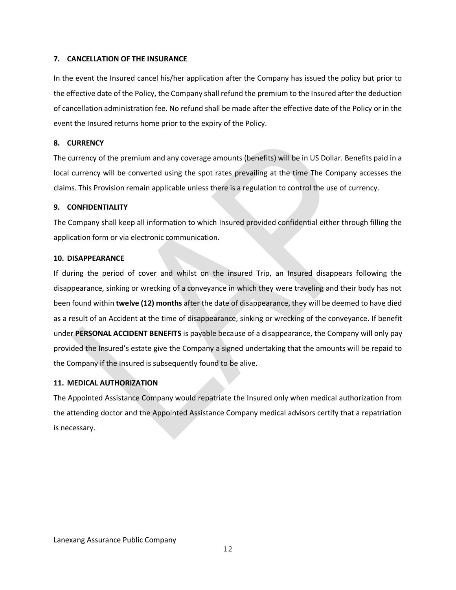## **7. CANCELLATION OF THE INSURANCE**

In the event the Insured cancel his/her application after the Company has issued the policy but prior to the effective date of the Policy, the Company shall refund the premium to the Insured after the deduction of cancellation administration fee. No refund shall be made after the effective date of the Policy or in the event the Insured returns home prior to the expiry of the Policy.

## **8. CURRENCY**

The currency of the premium and any coverage amounts (benefits) will be in US Dollar. Benefits paid in a local currency will be converted using the spot rates prevailing at the time The Company accesses the claims. This Provision remain applicable unless there is a regulation to control the use of currency.

## **9. CONFIDENTIALITY**

The Company shall keep all information to which Insured provided confidential either through filling the application form or via electronic communication.

## **10. DISAPPEARANCE**

If during the period of cover and whilst on the insured Trip, an Insured disappears following the disappearance, sinking or wrecking of a conveyance in which they were traveling and their body has not been found within **twelve (12) months** after the date of disappearance, they will be deemed to have died as a result of an Accident at the time of disappearance, sinking or wrecking of the conveyance. If benefit under **PERSONAL ACCIDENT BENEFITS** is payable because of a disappearance, the Company will only pay provided the Insured's estate give the Company a signed undertaking that the amounts will be repaid to the Company if the Insured is subsequently found to be alive.

# **11. MEDICAL AUTHORIZATION**

The Appointed Assistance Company would repatriate the Insured only when medical authorization from the attending doctor and the Appointed Assistance Company medical advisors certify that a repatriation is necessary.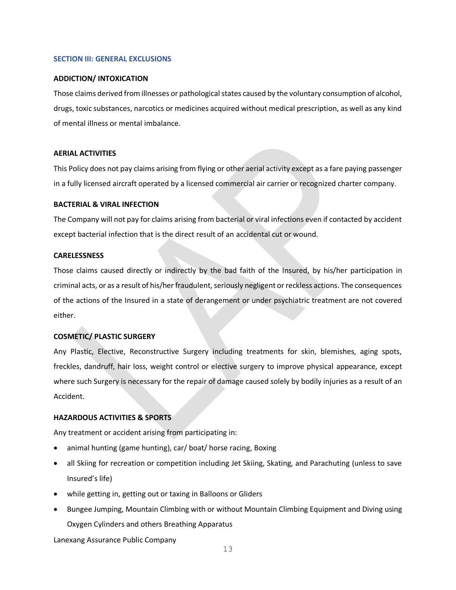## **SECTION III: GENERAL EXCLUSIONS**

#### **ADDICTION/ INTOXICATION**

Those claims derived from illnesses or pathological states caused by the voluntary consumption of alcohol, drugs, toxic substances, narcotics or medicines acquired without medical prescription, as well as any kind of mental illness or mental imbalance.

## **AERIAL ACTIVITIES**

This Policy does not pay claims arising from flying or other aerial activity except as a fare paying passenger in a fully licensed aircraft operated by a licensed commercial air carrier or recognized charter company.

#### **BACTERIAL & VIRAL INFECTION**

The Company will not pay for claims arising from bacterial or viral infections even if contacted by accident except bacterial infection that is the direct result of an accidental cut or wound.

#### **CARELESSNESS**

Those claims caused directly or indirectly by the bad faith of the Insured, by his/her participation in criminal acts, or as a result of his/her fraudulent, seriously negligent or reckless actions. The consequences of the actions of the Insured in a state of derangement or under psychiatric treatment are not covered either.

# **COSMETIC/ PLASTIC SURGERY**

Any Plastic, Elective, Reconstructive Surgery including treatments for skin, blemishes, aging spots, freckles, dandruff, hair loss, weight control or elective surgery to improve physical appearance, except where such Surgery is necessary for the repair of damage caused solely by bodily injuries as a result of an Accident.

# **HAZARDOUS ACTIVITIES & SPORTS**

Any treatment or accident arising from participating in:

- animal hunting (game hunting), car/ boat/ horse racing, Boxing
- all Skiing for recreation or competition including Jet Skiing, Skating, and Parachuting (unless to save Insured's life)
- while getting in, getting out or taxing in Balloons or Gliders
- Bungee Jumping, Mountain Climbing with or without Mountain Climbing Equipment and Diving using Oxygen Cylinders and others Breathing Apparatus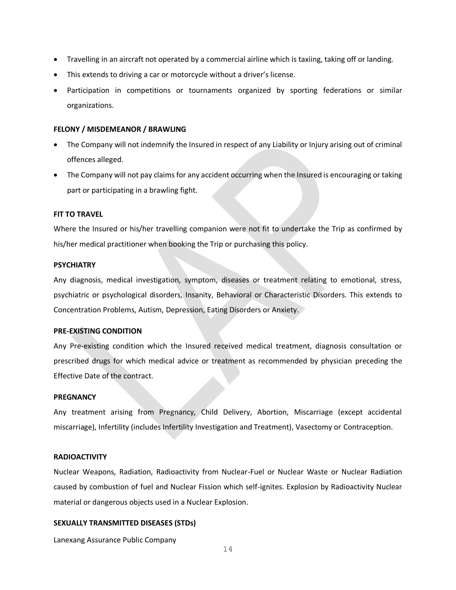- Travelling in an aircraft not operated by a commercial airline which is taxiing, taking off or landing.
- This extends to driving a car or motorcycle without a driver's license.
- Participation in competitions or tournaments organized by sporting federations or similar organizations.

#### **FELONY / MISDEMEANOR / BRAWLING**

- The Company will not indemnify the Insured in respect of any Liability or Injury arising out of criminal offences alleged.
- The Company will not pay claims for any accident occurring when the Insured is encouraging or taking part or participating in a brawling fight.

#### **FIT TO TRAVEL**

Where the Insured or his/her travelling companion were not fit to undertake the Trip as confirmed by his/her medical practitioner when booking the Trip or purchasing this policy.

#### **PSYCHIATRY**

Any diagnosis, medical investigation, symptom, diseases or treatment relating to emotional, stress, psychiatric or psychological disorders, Insanity, Behavioral or Characteristic Disorders. This extends to Concentration Problems, Autism, Depression, Eating Disorders or Anxiety.

#### **PRE-EXISTING CONDITION**

Any Pre-existing condition which the Insured received medical treatment, diagnosis consultation or prescribed drugs for which medical advice or treatment as recommended by physician preceding the Effective Date of the contract.

#### **PREGNANCY**

Any treatment arising from Pregnancy, Child Delivery, Abortion, Miscarriage (except accidental miscarriage), Infertility (includes Infertility Investigation and Treatment), Vasectomy or Contraception.

#### **RADIOACTIVITY**

Nuclear Weapons, Radiation, Radioactivity from Nuclear-Fuel or Nuclear Waste or Nuclear Radiation caused by combustion of fuel and Nuclear Fission which self-ignites. Explosion by Radioactivity Nuclear material or dangerous objects used in a Nuclear Explosion.

#### **SEXUALLY TRANSMITTED DISEASES (STDs)**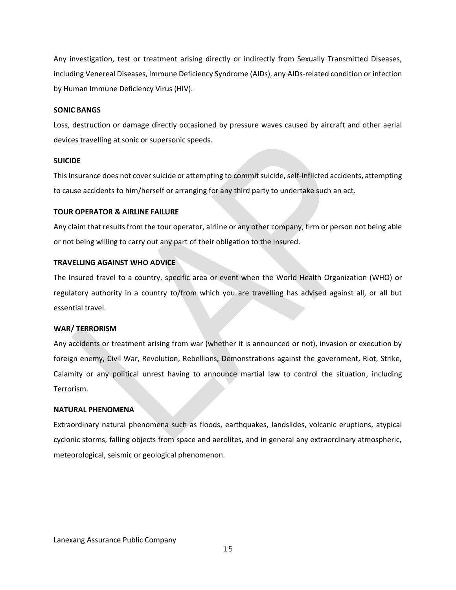Any investigation, test or treatment arising directly or indirectly from Sexually Transmitted Diseases, including Venereal Diseases, Immune Deficiency Syndrome (AIDs), any AIDs-related condition or infection by Human Immune Deficiency Virus (HIV).

#### **SONIC BANGS**

Loss, destruction or damage directly occasioned by pressure waves caused by aircraft and other aerial devices travelling at sonic or supersonic speeds.

#### **SUICIDE**

This Insurance does not cover suicide or attempting to commit suicide, self-inflicted accidents, attempting to cause accidents to him/herself or arranging for any third party to undertake such an act.

#### **TOUR OPERATOR & AIRLINE FAILURE**

Any claim that results from the tour operator, airline or any other company, firm or person not being able or not being willing to carry out any part of their obligation to the Insured.

#### **TRAVELLING AGAINST WHO ADVICE**

The Insured travel to a country, specific area or event when the World Health Organization (WHO) or regulatory authority in a country to/from which you are travelling has advised against all, or all but essential travel.

#### **WAR/ TERRORISM**

Any accidents or treatment arising from war (whether it is announced or not), invasion or execution by foreign enemy, Civil War, Revolution, Rebellions, Demonstrations against the government, Riot, Strike, Calamity or any political unrest having to announce martial law to control the situation, including Terrorism.

#### **NATURAL PHENOMENA**

Extraordinary natural phenomena such as floods, earthquakes, landslides, volcanic eruptions, atypical cyclonic storms, falling objects from space and aerolites, and in general any extraordinary atmospheric, meteorological, seismic or geological phenomenon.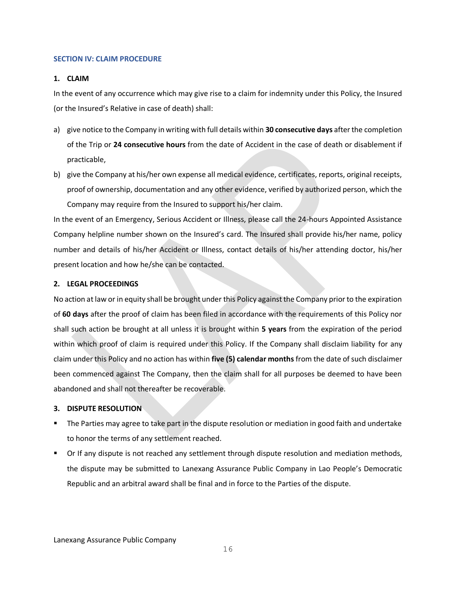#### **SECTION IV: CLAIM PROCEDURE**

## **1. CLAIM**

In the event of any occurrence which may give rise to a claim for indemnity under this Policy, the Insured (or the Insured's Relative in case of death) shall:

- a) give notice to the Company in writing with full details within **30 consecutive days** after the completion of the Trip or **24 consecutive hours** from the date of Accident in the case of death or disablement if practicable,
- b) give the Company at his/her own expense all medical evidence, certificates, reports, original receipts, proof of ownership, documentation and any other evidence, verified by authorized person, which the Company may require from the Insured to support his/her claim.

In the event of an Emergency, Serious Accident or Illness, please call the 24-hours Appointed Assistance Company helpline number shown on the Insured's card. The Insured shall provide his/her name, policy number and details of his/her Accident or Illness, contact details of his/her attending doctor, his/her present location and how he/she can be contacted.

## **2. LEGAL PROCEEDINGS**

No action at law or in equity shall be brought under this Policy against the Company prior to the expiration of **60 days** after the proof of claim has been filed in accordance with the requirements of this Policy nor shall such action be brought at all unless it is brought within **5 years** from the expiration of the period within which proof of claim is required under this Policy. If the Company shall disclaim liability for any claim under this Policy and no action has within **five (5) calendar months** from the date of such disclaimer been commenced against The Company, then the claim shall for all purposes be deemed to have been abandoned and shall not thereafter be recoverable.

# **3. DISPUTE RESOLUTION**

- The Parties may agree to take part in the dispute resolution or mediation in good faith and undertake to honor the terms of any settlement reached.
- Or If any dispute is not reached any settlement through dispute resolution and mediation methods, the dispute may be submitted to Lanexang Assurance Public Company in Lao People's Democratic Republic and an arbitral award shall be final and in force to the Parties of the dispute.